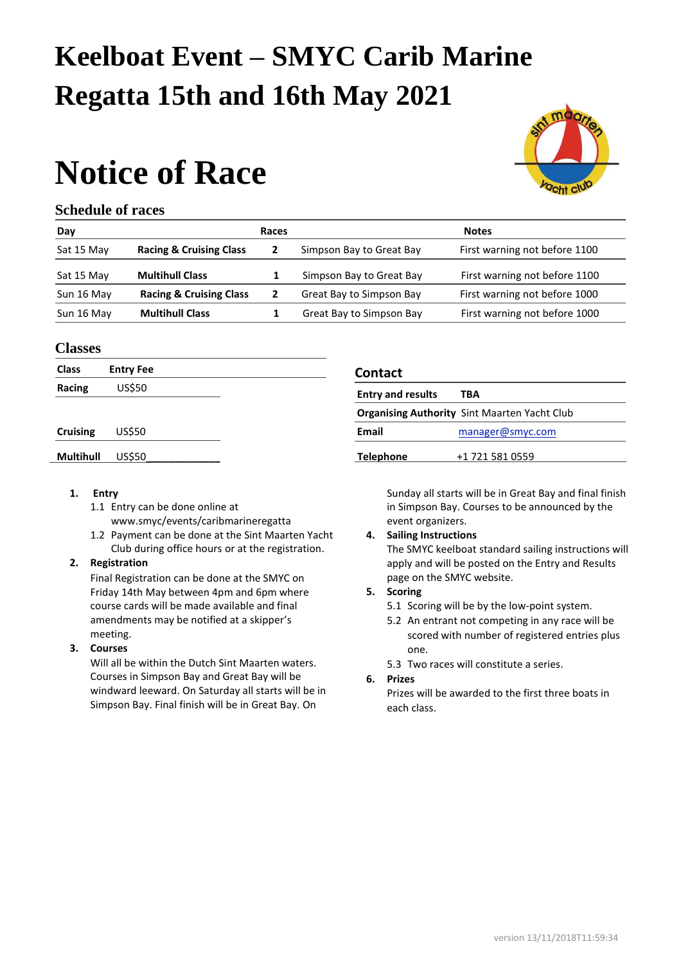## **Keelboat Event – SMYC Carib Marine Regatta 15th and 16th May 2021**

# **Notice of Race**



#### **Schedule of races**

| Day        |                                    | Races |                          | <b>Notes</b>                  |
|------------|------------------------------------|-------|--------------------------|-------------------------------|
| Sat 15 May | <b>Racing &amp; Cruising Class</b> |       | Simpson Bay to Great Bay | First warning not before 1100 |
| Sat 15 May | <b>Multihull Class</b>             |       | Simpson Bay to Great Bay | First warning not before 1100 |
| Sun 16 May | <b>Racing &amp; Cruising Class</b> |       | Great Bay to Simpson Bay | First warning not before 1000 |
| Sun 16 May | <b>Multihull Class</b>             |       | Great Bay to Simpson Bay | First warning not before 1000 |

#### **Classes**

| <b>Class</b><br><b>Entry Fee</b> |               | <b>Contact</b>                                      |  |
|----------------------------------|---------------|-----------------------------------------------------|--|
| Racing                           | US\$50        | <b>Entry and results</b><br><b>TBA</b>              |  |
|                                  |               | <b>Organising Authority Sint Maarten Yacht Club</b> |  |
| <b>Cruising</b>                  | <b>US\$50</b> | <b>Email</b><br>manager@smyc.com                    |  |
| <b>Multihull</b>                 | <b>US\$50</b> | <b>Telephone</b><br>+1 721 581 0559                 |  |
|                                  |               |                                                     |  |

#### **1. Entry**

- 1.1 Entry can be done online at [www.smyc/events/caribmarineregatta](http://www.smyc/events/caribmarineregatta)
- 1.2 Payment can be done at the Sint Maarten Yacht Club during office hours or at the registration.

#### **2. Registration**

Final Registration can be done at the SMYC on Friday 14th May between 4pm and 6pm where course cards will be made available and final amendments may be notified at a skipper's meeting.

#### **3. Courses**

Will all be within the Dutch Sint Maarten waters. Courses in Simpson Bay and Great Bay will be windward leeward. On Saturday all starts will be in Simpson Bay. Final finish will be in Great Bay. On

| <b>Entry and results</b>                            | TBA                 |  |  |  |
|-----------------------------------------------------|---------------------|--|--|--|
| <b>Organising Authority Sint Maarten Yacht Club</b> |                     |  |  |  |
| Email                                               | $m$ anager@smyc.com |  |  |  |
| <b>Telephone</b>                                    | +1 721 581 0559     |  |  |  |

Sunday all starts will be in Great Bay and final finish in Simpson Bay. Courses to be announced by the event organizers.

### **4. Sailing Instructions**

The SMYC keelboat standard sailing instructions will apply and will be posted on the Entry and Results page on the SMYC website.

#### **5. Scoring**

- 5.1 Scoring will be by the low-point system.
- 5.2 An entrant not competing in any race will be scored with number of registered entries plus one.

5.3 Two races will constitute a series.

#### **6. Prizes**

Prizes will be awarded to the first three boats in each class.